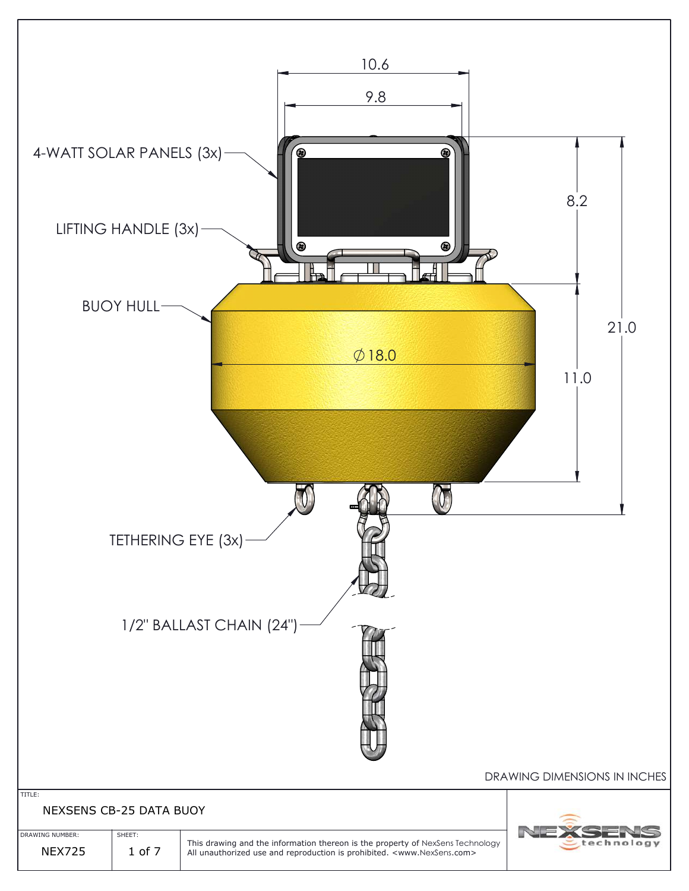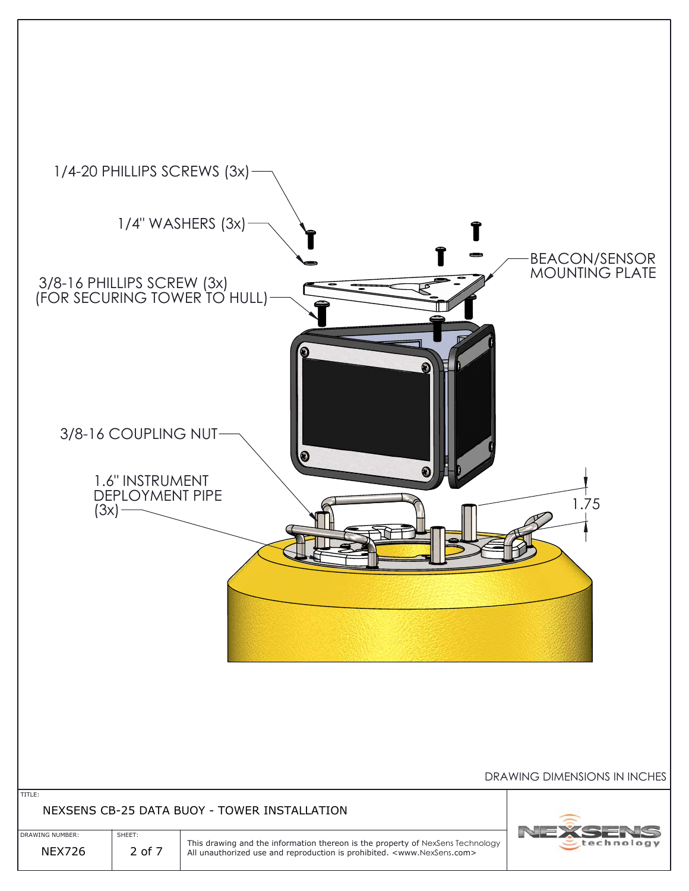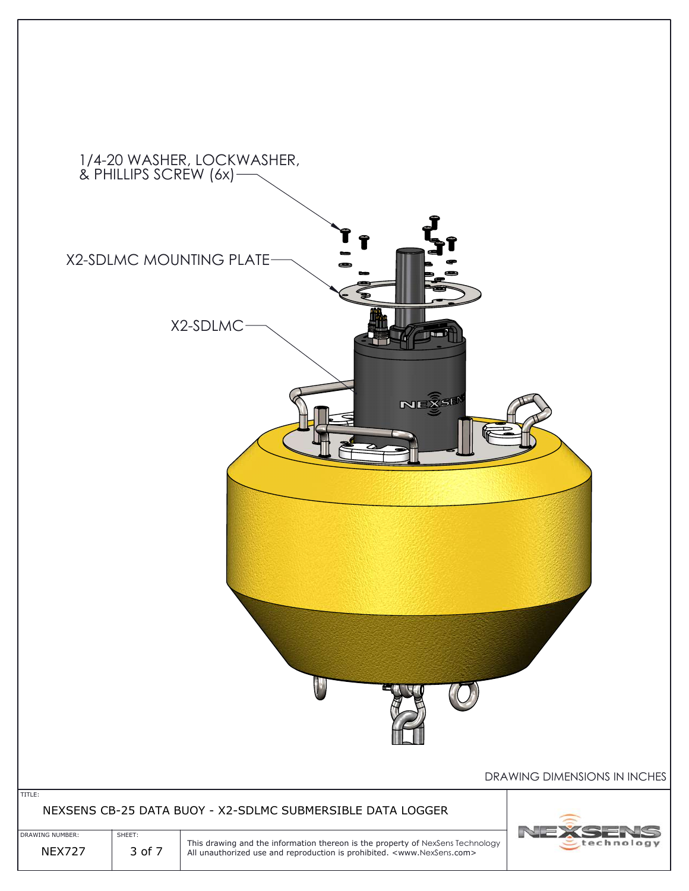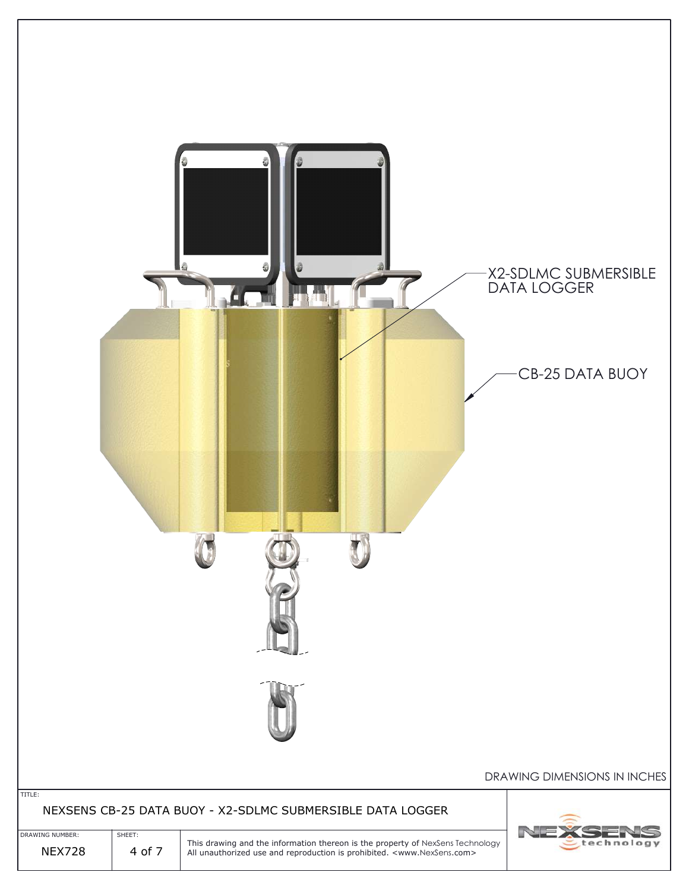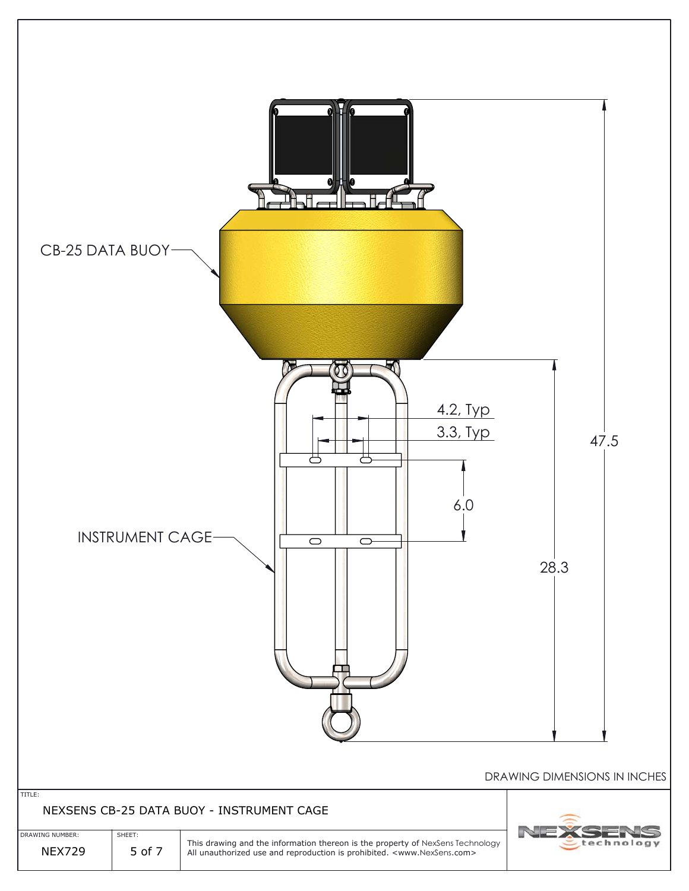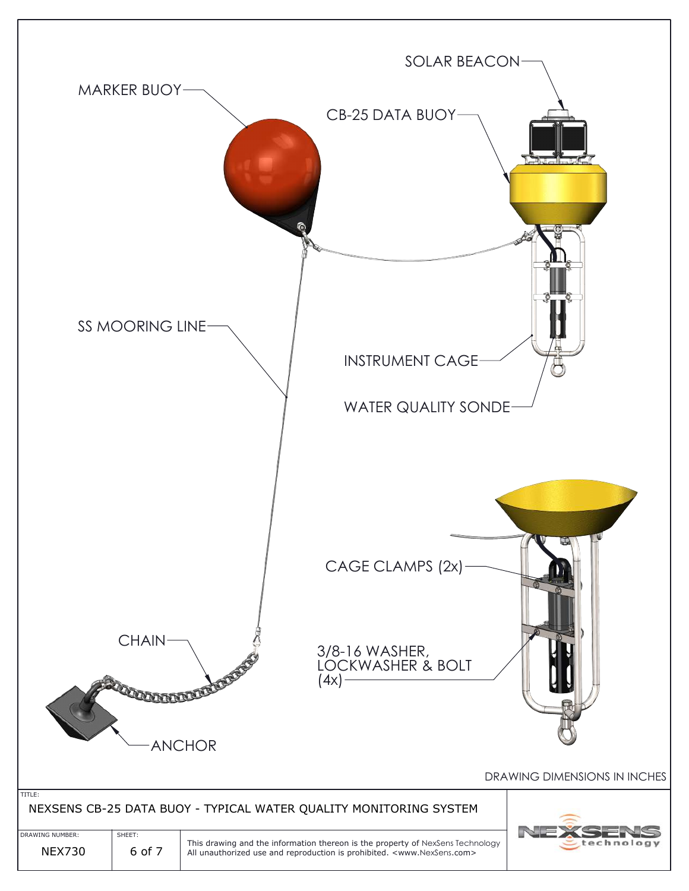